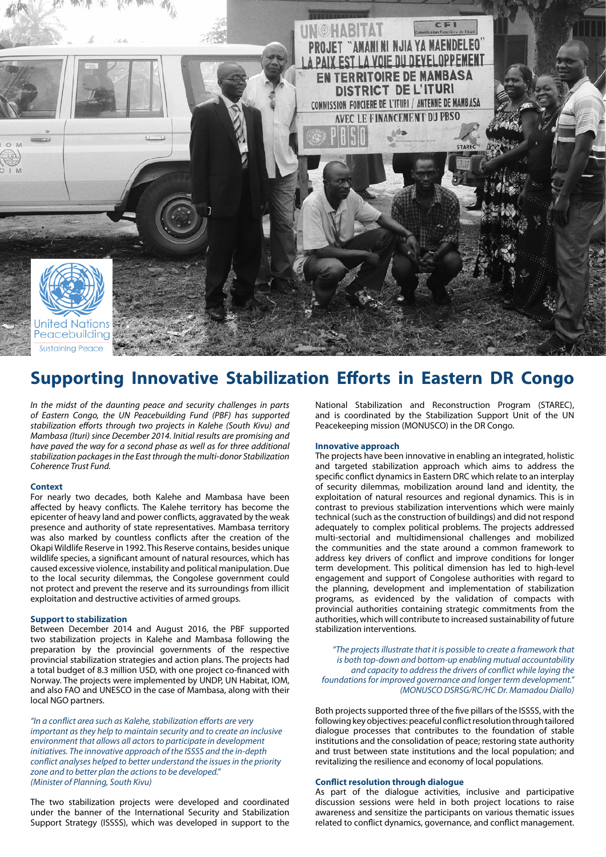

# **Supporting Innovative Stabilization Efforts in Eastern DR Congo**

*In the midst of the daunting peace and security challenges in parts of Eastern Congo, the UN Peacebuilding Fund (PBF) has supported stabilization efforts through two projects in Kalehe (South Kivu) and Mambasa (Ituri) since December 2014. Initial results are promising and have paved the way for a second phase as well as for three additional stabilization packages in the East through the multi-donor Stabilization Coherence Trust Fund.*

## **Context**

For nearly two decades, both Kalehe and Mambasa have been affected by heavy conflicts. The Kalehe territory has become the epicenter of heavy land and power conflicts, aggravated by the weak presence and authority of state representatives. Mambasa territory was also marked by countless conflicts after the creation of the Okapi Wildlife Reserve in 1992. This Reserve contains, besides unique wildlife species, a significant amount of natural resources, which has caused excessive violence, instability and political manipulation. Due to the local security dilemmas, the Congolese government could not protect and prevent the reserve and its surroundings from illicit exploitation and destructive activities of armed groups.

#### **Support to stabilization**

Between December 2014 and August 2016, the PBF supported two stabilization projects in Kalehe and Mambasa following the preparation by the provincial governments of the respective provincial stabilization strategies and action plans. The projects had a total budget of 8.3 million USD, with one project co-financed with Norway. The projects were implemented by UNDP, UN Habitat, IOM, and also FAO and UNESCO in the case of Mambasa, along with their local NGO partners.

*"In a conflict area such as Kalehe, stabilization efforts are very important as they help to maintain security and to create an inclusive environment that allows all actors to participate in development initiatives. The innovative approach of the ISSSS and the in-depth conflict analyses helped to better understand the issues in the priority zone and to better plan the actions to be developed." (Minister of Planning, South Kivu)* 

The two stabilization projects were developed and coordinated under the banner of the International Security and Stabilization Support Strategy (ISSSS), which was developed in support to the National Stabilization and Reconstruction Program (STAREC), and is coordinated by the Stabilization Support Unit of the UN Peacekeeping mission (MONUSCO) in the DR Congo.

# **Innovative approach**

The projects have been innovative in enabling an integrated, holistic and targeted stabilization approach which aims to address the specific conflict dynamics in Eastern DRC which relate to an interplay of security dilemmas, mobilization around land and identity, the exploitation of natural resources and regional dynamics. This is in contrast to previous stabilization interventions which were mainly technical (such as the construction of buildings) and did not respond adequately to complex political problems. The projects addressed multi-sectorial and multidimensional challenges and mobilized the communities and the state around a common framework to address key drivers of conflict and improve conditions for longer term development. This political dimension has led to high-level engagement and support of Congolese authorities with regard to the planning, development and implementation of stabilization programs, as evidenced by the validation of compacts with provincial authorities containing strategic commitments from the authorities, which will contribute to increased sustainability of future stabilization interventions.

*"The projects illustrate that it is possible to create a framework that is both top-down and bottom-up enabling mutual accountability and capacity to address the drivers of conflict while laying the foundations for improved governance and longer term development." (MONUSCO DSRSG/RC/HC Dr. Mamadou Diallo)*

Both projects supported three of the five pillars of the ISSSS, with the following key objectives: peaceful conflict resolution through tailored dialogue processes that contributes to the foundation of stable institutions and the consolidation of peace; restoring state authority and trust between state institutions and the local population; and revitalizing the resilience and economy of local populations.

#### **Conflict resolution through dialogue**

As part of the dialogue activities, inclusive and participative discussion sessions were held in both project locations to raise awareness and sensitize the participants on various thematic issues related to conflict dynamics, governance, and conflict management.